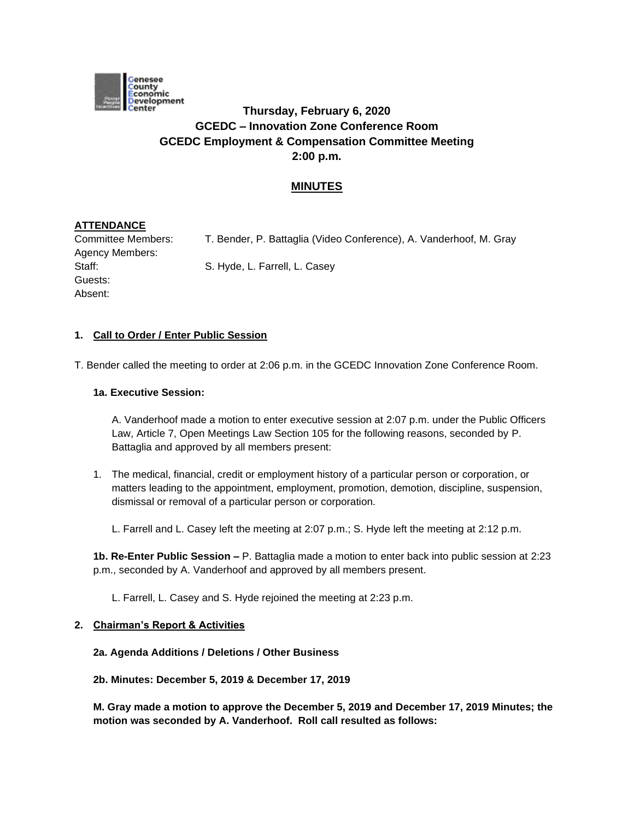

# **Thursday, February 6, 2020 GCEDC – Innovation Zone Conference Room GCEDC Employment & Compensation Committee Meeting 2:00 p.m.**

# **MINUTES**

# **ATTENDANCE**

Guests: Absent:

Committee Members: T. Bender, P. Battaglia (Video Conference), A. Vanderhoof, M. Gray Agency Members: Staff: Staff: S. Hyde, L. Farrell, L. Casey

### **1. Call to Order / Enter Public Session**

T. Bender called the meeting to order at 2:06 p.m. in the GCEDC Innovation Zone Conference Room.

#### **1a. Executive Session:**

A. Vanderhoof made a motion to enter executive session at 2:07 p.m. under the Public Officers Law, Article 7, Open Meetings Law Section 105 for the following reasons, seconded by P. Battaglia and approved by all members present:

1. The medical, financial, credit or employment history of a particular person or corporation, or matters leading to the appointment, employment, promotion, demotion, discipline, suspension, dismissal or removal of a particular person or corporation.

L. Farrell and L. Casey left the meeting at 2:07 p.m.; S. Hyde left the meeting at 2:12 p.m.

**1b. Re-Enter Public Session –** P. Battaglia made a motion to enter back into public session at 2:23 p.m., seconded by A. Vanderhoof and approved by all members present.

L. Farrell, L. Casey and S. Hyde rejoined the meeting at 2:23 p.m.

#### **2. Chairman's Report & Activities**

#### **2a. Agenda Additions / Deletions / Other Business**

**2b. Minutes: December 5, 2019 & December 17, 2019** 

**M. Gray made a motion to approve the December 5, 2019 and December 17, 2019 Minutes; the motion was seconded by A. Vanderhoof. Roll call resulted as follows:**